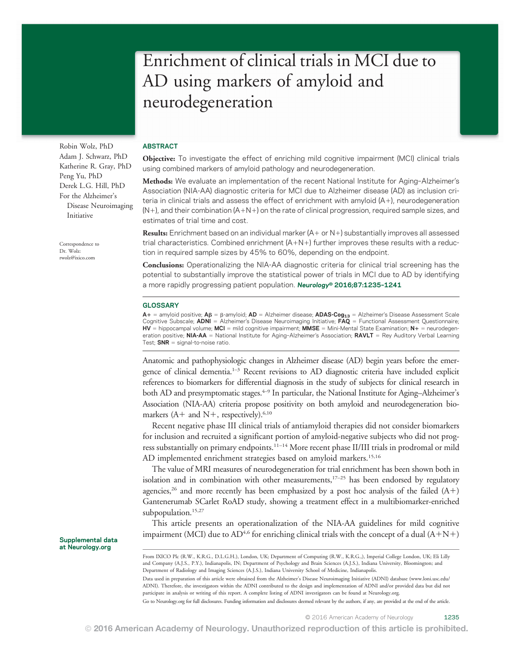# Enrichment of clinical trials in MCI due to AD using markers of amyloid and neurodegeneration

Robin Wolz, PhD Adam J. Schwarz, PhD Katherine R. Gray, PhD Peng Yu, PhD Derek L.G. Hill, PhD For the Alzheimer's Disease Neuroimaging Initiative

Correspondence to Dr. Wolz: [rwolz@ixico.com](mailto:rwolz@ixico.com)

### ABSTRACT

Objective: To investigate the effect of enriching mild cognitive impairment (MCI) clinical trials using combined markers of amyloid pathology and neurodegeneration.

Methods: We evaluate an implementation of the recent National Institute for Aging-Alzheimer's Association (NIA-AA) diagnostic criteria for MCI due to Alzheimer disease (AD) as inclusion criteria in clinical trials and assess the effect of enrichment with amyloid  $(A+)$ , neurodegeneration  $(N+)$ , and their combination  $(A+N+)$  on the rate of clinical progression, required sample sizes, and estimates of trial time and cost.

**Results:** Enrichment based on an individual marker  $(A + or N+)$  substantially improves all assessed trial characteristics. Combined enrichment  $(A+N+)$  further improves these results with a reduction in required sample sizes by 45% to 60%, depending on the endpoint.

Conclusions: Operationalizing the NIA-AA diagnostic criteria for clinical trial screening has the potential to substantially improve the statistical power of trials in MCI due to AD by identifying a more rapidly progressing patient population. Neurology® 2016;87:1235–<sup>1241</sup>

#### **GLOSSARY**

 $A+$  = amyloid positive;  $A\beta$  =  $\beta$ -amyloid;  $AD =$  Alzheimer disease;  $ADAS-Cog_{13} =$  Alzheimer's Disease Assessment Scale Cognitive Subscale; ADNI = Alzheimer's Disease Neuroimaging Initiative;  $FAQ$  = Functional Assessment Questionnaire;  $HV =$  hippocampal volume; MCI = mild cognitive impairment; MMSE = Mini-Mental State Examination; N+ = neurodegeneration positive; NIA-AA = National Institute for Aging-Alzheimer's Association; RAVLT = Rey Auditory Verbal Learning Test;  $SNR =$  signal-to-noise ratio.

Anatomic and pathophysiologic changes in Alzheimer disease (AD) begin years before the emergence of clinical dementia.1–<sup>3</sup> Recent revisions to AD diagnostic criteria have included explicit references to biomarkers for differential diagnosis in the study of subjects for clinical research in both AD and presymptomatic stages. $^{4-9}$  In particular, the National Institute for Aging–Alzheimer's Association (NIA-AA) criteria propose positivity on both amyloid and neurodegeneration biomarkers  $(A+$  and  $N+$ , respectively).<sup>6,10</sup>

Recent negative phase III clinical trials of antiamyloid therapies did not consider biomarkers for inclusion and recruited a significant portion of amyloid-negative subjects who did not progress substantially on primary endpoints.11–<sup>14</sup> More recent phase II/III trials in prodromal or mild AD implemented enrichment strategies based on amyloid markers.<sup>15,16</sup>

The value of MRI measures of neurodegeneration for trial enrichment has been shown both in isolation and in combination with other measurements, $17-25$  has been endorsed by regulatory agencies,<sup>26</sup> and more recently has been emphasized by a post hoc analysis of the failed  $(A+)$ Gantenerumab SCarlet RoAD study, showing a treatment effect in a multibiomarker-enriched subpopulation.<sup>15,27</sup>

This article presents an operationalization of the NIA-AA guidelines for mild cognitive impairment (MCI) due to AD<sup>4,6</sup> for enriching clinical trials with the concept of a dual  $(A+N+)$ 

From IXICO Plc (R.W., K.R.G., D.L.G.H.), London, UK; Department of Computing (R.W., K.R.G.,), Imperial College London, UK; Eli Lilly and Company (A.J.S., P.Y.), Indianapolis, IN; Department of Psychology and Brain Sciences (A.J.S.), Indiana University, Bloomington; and Department of Radiology and Imaging Sciences (A.J.S.), Indiana University School of Medicine, Indianapolis.

Data used in preparation of this article were obtained from the Alzheimer's Disease Neuroimaging Initiative (ADNI) database ([www.loni.usc.edu/](http://www.loni.usc.edu/ADNI) [ADNI\)](http://www.loni.usc.edu/ADNI). Therefore, the investigators within the ADNI contributed to the design and implementation of ADNI and/or provided data but did not participate in analysis or writing of this report. A complete listing of ADNI investigators can be found at [Neurology.org.](http://neurology.org/lookup/doi/10.1212/WNL.0000000000003126)

Go to [Neurology.org](http://neurology.org/lookup/doi/10.1212/WNL.0000000000003126) for full disclosures. Funding information and disclosures deemed relevant by the authors, if any, are provided at the end of the article.

© 2016 American Academy of Neurology 1235

© 2016 American Academy of Neurology. Unauthorized reproduction of this article is prohibited.

Supplemental data at [Neurology.org](http://neurology.org/lookup/doi/10.1212/WNL.0000000000003126)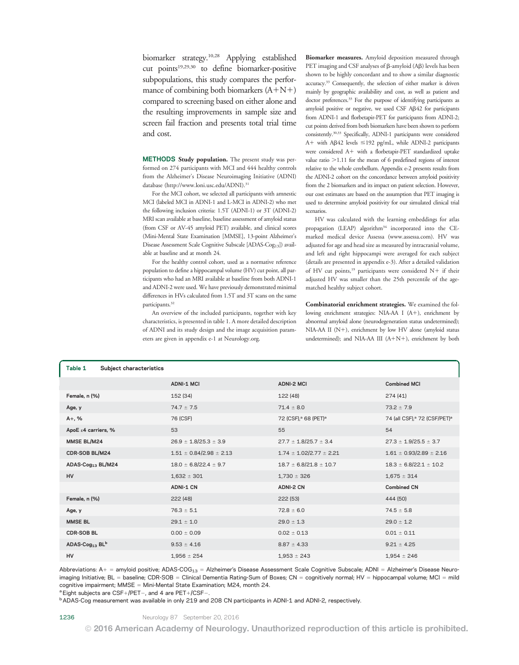biomarker strategy.10,28 Applying established cut points<sup>19,29,30</sup> to define biomarker-positive subpopulations, this study compares the performance of combining both biomarkers  $(A+N+)$ compared to screening based on either alone and the resulting improvements in sample size and screen fail fraction and presents total trial time and cost.

METHODS Study population. The present study was performed on 274 participants with MCI and 444 healthy controls from the Alzheimer's Disease Neuroimaging Initiative (ADNI) database ([http://www.loni.usc.edu/ADNI](http://www.loni.ucla.edu/ADNI)).<sup>31</sup>

For the MCI cohort, we selected all participants with amnestic MCI (labeled MCI in ADNI-1 and L-MCI in ADNI-2) who met the following inclusion criteria: 1.5T (ADNI-1) or 3T (ADNI-2) MRI scan available at baseline, baseline assessment of amyloid status (from CSF or AV-45 amyloid PET) available, and clinical scores (Mini-Mental State Examination [MMSE], 13-point Alzheimer's Disease Assessment Scale Cognitive Subscale [ADAS-Cog13]) available at baseline and at month 24.

For the healthy control cohort, used as a normative reference population to define a hippocampal volume (HV) cut point, all participants who had an MRI available at baseline from both ADNI-1 and ADNI-2 were used. We have previously demonstrated minimal differences in HVs calculated from 1.5T and 3T scans on the same participants.<sup>32</sup>

An overview of the included participants, together with key characteristics, is presented in table 1. A more detailed description of ADNI and its study design and the image acquisition parameters are given in appendix e-1 at [Neurology.org](http://neurology.org/lookup/doi/10.1212/WNL.0000000000003126).

Biomarker measures. Amyloid deposition measured through PET imaging and CSF analyses of  $\beta$ -amyloid (A $\beta$ ) levels has been shown to be highly concordant and to show a similar diagnostic accuracy.33 Consequently, the selection of either marker is driven mainly by geographic availability and cost, as well as patient and doctor preferences.<sup>33</sup> For the purpose of identifying participants as amyloid positive or negative, we used CSF A $\beta$ 42 for participants from ADNI-1 and florbetapir-PET for participants from ADNI-2; cut points derived from both biomarkers have been shown to perform consistently.30,33 Specifically, ADNI-1 participants were considered A+ with A $\beta$ 42 levels  $\leq$ 192 pg/mL, while ADNI-2 participants were considered A+ with a florbetapir-PET standardized uptake value ratio  $>1.11$  for the mean of 6 predefined regions of interest relative to the whole cerebellum. Appendix e-2 presents results from the ADNI-2 cohort on the concordance between amyloid positivity from the 2 biomarkers and its impact on patient selection. However, our cost estimates are based on the assumption that PET imaging is used to determine amyloid positivity for our simulated clinical trial scenarios.

HV was calculated with the learning embeddings for atlas propagation (LEAP) algorithm<sup>34</sup> incorporated into the CEmarked medical device Assessa ([www.assessa.com](http://www.assessa.com)). HV was adjusted for age and head size as measured by intracranial volume, and left and right hippocampi were averaged for each subject (details are presented in appendix e-3). After a detailed validation of HV cut points,<sup>19</sup> participants were considered  $N+$  if their adjusted HV was smaller than the 25th percentile of the agematched healthy subject cohort.

Combinatorial enrichment strategies. We examined the following enrichment strategies: NIA-AA I (A+), enrichment by abnormal amyloid alone (neurodegeneration status undetermined); NIA-AA II  $(N+)$ , enrichment by low HV alone (amyloid status undetermined); and NIA-AA III  $(A+N+)$ , enrichment by both

| Table 1<br>Subject characteristics     |                               |                                              |                                                      |
|----------------------------------------|-------------------------------|----------------------------------------------|------------------------------------------------------|
|                                        | <b>ADNI-1 MCI</b>             | <b>ADNI-2 MCI</b>                            | <b>Combined MCI</b>                                  |
| Female, n (%)                          | 152 (34)                      | 122 (48)                                     | 274(41)                                              |
| Age, y                                 | $74.7 \pm 7.5$                | $71.4 \pm 8.0$                               | $73.2 \pm 7.9$                                       |
| $A +$ , %                              | 76 (CSF)                      | 72 (CSF), <sup>a</sup> 68 (PET) <sup>a</sup> | 74 (all CSF), <sup>a</sup> 72 (CSF/PET) <sup>a</sup> |
| ApoE ε4 carriers, %                    | 53                            | 55                                           | 54                                                   |
| MMSE BL/M24                            | $26.9 \pm 1.8/25.3 \pm 3.9$   | $27.7 \pm 1.8/25.7 \pm 3.4$                  | $27.3 \pm 1.9/25.5 \pm 3.7$                          |
| CDR-SOB BL/M24                         | $1.51 \pm 0.84/2.98 \pm 2.13$ | $1.74 \pm 1.02/2.77 \pm 2.21$                | $1.61 \pm 0.93/2.89 \pm 2.16$                        |
| ADAS-Cog <sub>13</sub> BL/M24          | $18.0 \pm 6.8/22.4 \pm 9.7$   | $18.7 \pm 6.8/21.8 \pm 10.7$                 | $18.3 \pm 6.8/22.1 \pm 10.2$                         |
| <b>HV</b>                              | $1,632 \pm 301$               | $1,730 \pm 326$                              | $1,675 \pm 314$                                      |
|                                        | <b>ADNI-1 CN</b>              | <b>ADNI-2 CN</b>                             | <b>Combined CN</b>                                   |
| Female, n (%)                          | 222(48)                       | 222(53)                                      | 444 (50)                                             |
| Age, y                                 | $76.3 \pm 5.1$                | $72.8 \pm 6.0$                               | $74.5 \pm 5.8$                                       |
| <b>MMSE BL</b>                         | $29.1 \pm 1.0$                | $29.0 \pm 1.3$                               | $29.0 \pm 1.2$                                       |
| <b>CDR-SOB BL</b>                      | $0.00 \pm 0.09$               | $0.02 \pm 0.13$                              | $0.01 \pm 0.11$                                      |
| ADAS-Cog <sub>13</sub> BL <sup>b</sup> | $9.53 \pm 4.16$               | $8.87 \pm 4.33$                              | $9.21 \pm 4.25$                                      |
| <b>HV</b>                              | $1,956 \pm 254$               | $1,953 \pm 243$                              | $1,954 \pm 246$                                      |

Abbreviations:  $A_+$  = amyloid positive; ADAS-COG<sub>13</sub> = Alzheimer's Disease Assessment Scale Cognitive Subscale; ADNI = Alzheimer's Disease Neuroimaging Initiative; BL = baseline; CDR-SOB = Clinical Dementia Rating-Sum of Boxes; CN = cognitively normal; HV = hippocampal volume; MCI = mild cognitive impairment; MMSE = Mini-Mental State Examination; M24, month 24.

 $^{\circ}$  Eight subjects are CSF+/PET-, and 4 are PET+/CSF-.

<sup>b</sup> ADAS-Cog measurement was available in only 219 and 208 CN participants in ADNI-1 and ADNI-2, respectively.

© 2016 American Academy of Neurology. Unauthorized reproduction of this article is prohibited.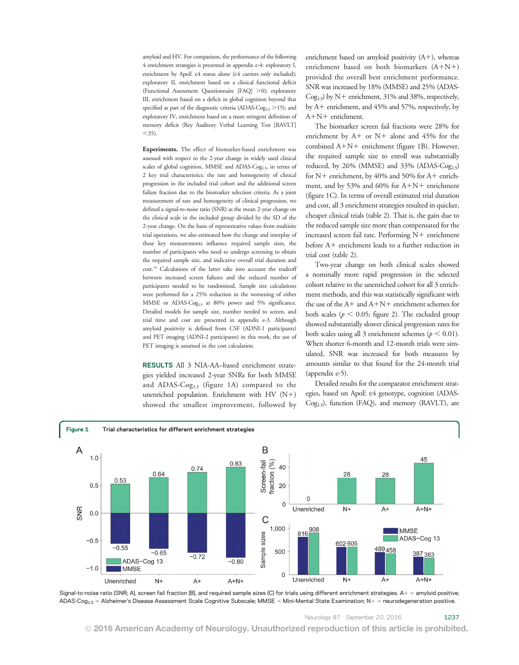amyloid and HV. For comparison, the performance of the following 4 enrichment strategies is presented in appendix e-4: exploratory I, enrichment by ApoE e4 status alone (e4 carriers only included); exploratory II, enrichment based on a clinical functional deficit (Functional Assessment Questionnaire [FAQ]  $>$ 0); exploratory III, enrichment based on a deficit in global cognition beyond that specified as part of the diagnostic criteria (ADAS-Co $g_{13}$  >15); and exploratory IV, enrichment based on a more stringent definition of memory deficit (Rey Auditory Verbal Learning Test [RAVLT]  $<$ 35).

Experiments. The effect of biomarker-based enrichment was assessed with respect to the 2-year change in widely used clinical scales of global cognition, MMSE and ADAS-Cog<sub>13</sub>, in terms of 2 key trial characteristics: the rate and homogeneity of clinical progression in the included trial cohort and the additional screen failure fraction due to the biomarker selection criteria. As a joint measurement of rate and homogeneity of clinical progression, we defined a signal-to-noise ratio (SNR) as the mean 2-year change on the clinical scale in the included group divided by the SD of the 2-year change. On the basis of representative values from multisite trial operations, we also estimated how the change and interplay of these key measurements influence required sample sizes, the number of participants who need to undergo screening to obtain the required sample size, and indicative overall trial duration and cost.19 Calculations of the latter take into account the tradeoff between increased screen failures and the reduced number of participants needed to be randomized. Sample size calculations were performed for a 25% reduction in the worsening of either MMSE or ADAS-Cog<sub>13</sub> at 80% power and 5% significance. Detailed models for sample size, number needed to screen, and trial time and cost are presented in appendix e-3. Although amyloid positivity is defined from CSF (ADNI-1 participants) and PET imaging (ADNI-2 participants) in this work, the use of PET imaging is assumed in the cost calculation.

RESULTS All 3 NIA-AA–based enrichment strategies yielded increased 2-year SNRs for both MMSE and ADAS- $\text{Cog}_{13}$  (figure 1A) compared to the unenriched population. Enrichment with  $HV(N+)$ showed the smallest improvement, followed by enrichment based on amyloid positivity  $(A+)$ , whereas enrichment based on both biomarkers  $(A+N+)$ provided the overall best enrichment performance. SNR was increased by 18% (MMSE) and 25% (ADAS- $Cog<sub>13</sub>$ ) by N+ enrichment, 31% and 38%, respectively, by  $A+$  enrichment, and 45% and 57%, respectively, by A+N+ enrichment.

The biomarker screen fail fractions were 28% for enrichment by  $A+$  or  $N+$  alone and 45% for the combined  $A+N+$  enrichment (figure 1B). However, the required sample size to enroll was substantially reduced, by  $26\%$  (MMSE) and  $33\%$  (ADAS-Cog<sub>13</sub>) for  $N$ + enrichment, by 40% and 50% for A+ enrichment, and by 53% and 60% for  $A+N+$  enrichment (figure 1C). In terms of overall estimated trial duration and cost, all 3 enrichment strategies resulted in quicker, cheaper clinical trials (table 2). That is, the gain due to the reduced sample size more than compensated for the increased screen fail rate. Performing  $N+$  enrichment before  $A+$  enrichment leads to a further reduction in trial cost (table 2).

Two-year change on both clinical scales showed a nominally more rapid progression in the selected cohort relative to the unenriched cohort for all 3 enrichment methods, and this was statistically significant with the use of the  $A+$  and  $A+N+$  enrichment schemes for both scales ( $p < 0.05$ ; figure 2). The excluded group showed substantially slower clinical progression rates for both scales using all 3 enrichment schemes ( $p < 0.01$ ). When shorter 6-month and 12-month trials were simulated, SNR was increased for both measures by amounts similar to that found for the 24-month trial (appendix e-5).

Detailed results for the comparator enrichment strategies, based on ApoE e4 genotype, cognition (ADAS- $Cog<sub>13</sub>$ ), function (FAQ), and memory (RAVLT), are



Signal-to-noise ratio (SNR; A), screen fail fraction (B), and required sample sizes (C) for trials using different enrichment strategies.  $A_+ =$  amyloid positive; ADAS-Cog<sub>13</sub> = Alzheimer's Disease Assessment Scale Cognitive Subscale; MMSE = Mini-Mental State Examination; N+ = neurodegeneration positive.

© 2016 American Academy of Neurology. Unauthorized reproduction of this article is prohibited.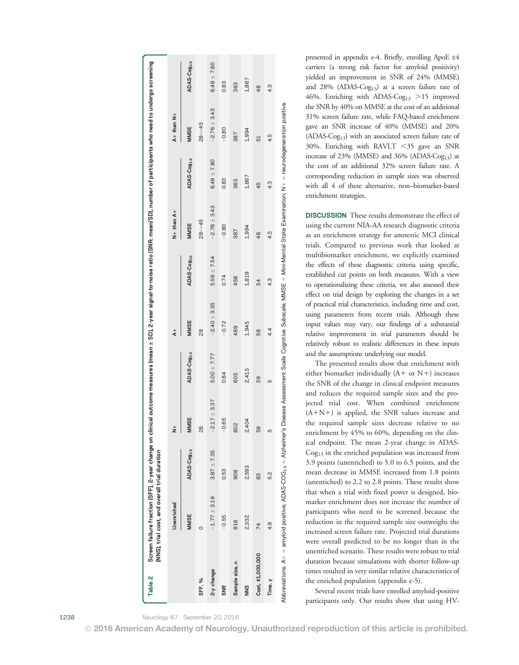| Table 2           |                  | (NNS), trial cost, and overall trial duration                                         | Screen failure fraction (SFF), 2-year change on clinical outcome measures (mean ± SD), 2-year signal-to-noise ratio (SNR: mean/SD), number of participants who need to undergo screening |                        |                       |                        |                                                                                                             |                        |                  |                        |
|-------------------|------------------|---------------------------------------------------------------------------------------|------------------------------------------------------------------------------------------------------------------------------------------------------------------------------------------|------------------------|-----------------------|------------------------|-------------------------------------------------------------------------------------------------------------|------------------------|------------------|------------------------|
|                   | Unenriched       |                                                                                       | $\frac{1}{2}$                                                                                                                                                                            |                        | $\stackrel{+}{\prec}$ |                        | N+ then A+                                                                                                  |                        | A+ then N+       |                        |
|                   | <b>MMSE</b>      | ADAS-Cog <sub>13</sub>                                                                | MMSE                                                                                                                                                                                     | ADAS-Cog <sub>13</sub> | MMSE                  | ADAS-Cog <sub>13</sub> | MMSE                                                                                                        | ADAS-Cog <sub>13</sub> | MMSE             | ADAS-Cog <sub>13</sub> |
| SFF, %            |                  |                                                                                       | 8                                                                                                                                                                                        |                        | 8                     |                        | $28 - > 45$                                                                                                 |                        | $28 - > 45$      |                        |
| 2-y change        | $-1.77 \pm 3.19$ | $3.87 \pm 7.35$                                                                       | $-2.17 \pm 3.37$                                                                                                                                                                         | $5.00 \pm 7.77$        | $-2.40 \pm 3.35$      | $5.58 \pm 7.54$        | $-2.76 \pm 3.43$                                                                                            | $6.49 \pm 7.80$        | $-2.76 \pm 3.43$ | $6.49 \pm 7.80$        |
| <b>SNR</b>        | $-0.55$          | 0.53                                                                                  | $-0.65$                                                                                                                                                                                  | 0.64                   | $-0.72$               | 0.74                   | $-0.80$                                                                                                     | 0.83                   | $-0.80$          | 0.83                   |
| Sample size, n    | 816              | 908                                                                                   | 602                                                                                                                                                                                      | 605                    | 489                   | 458                    | 387                                                                                                         | 363                    | 387              | 363                    |
| <b>NNS</b>        | 2,332            | 2,593                                                                                 | 2,404                                                                                                                                                                                    | 2,415                  | 1,945                 | 1,819                  | 1,994                                                                                                       | 1,867                  | 1,994            | 1,867                  |
| Cost, \$1,000,000 | 74               | 33                                                                                    | 59                                                                                                                                                                                       | 59                     | 58                    | 54                     | 48                                                                                                          | 45                     | 51               | $\frac{4}{8}$          |
| Time, y           | $\frac{4}{3}$    | 5.2                                                                                   | 5                                                                                                                                                                                        | 5                      | 4.4                   | 4.3                    | 4.5                                                                                                         | 4.3                    | 4.5              | 4.3                    |
|                   |                  | Abbreviations: $A_+ =$ amyloid positive; ADAS-COG <sub>13</sub> = Alzheimer's Disease |                                                                                                                                                                                          |                        |                       |                        | Assessment Scale Cognitive Subscale; MMSE = Mini-Mental State Examination; N+ = neurodegeneration positive. |                        |                  |                        |

presented in appendix e-4. Briefly, enrolling ApoE e4 carriers (a strong risk factor for amyloid positivity) yielded an improvement in SNR of 24% (MMSE) and 28% (ADAS-Co $g_{13}$ ) at a screen failure rate of 46%. Enriching with ADAS-Cog<sub>13</sub> > 15 improved the SNR by 40% on MMSE at the cost of an additional 31% screen failure rate, while FAQ-based enrichment gave an SNR increase of 40% (MMSE) and 20% (ADAS-Cog13) with an associated screen failure rate of 30%. Enriching with RAVLT  $\leq$ 35 gave an SNR increase of  $23\%$  (MMSE) and  $36\%$  (ADAS-Cog<sub>13</sub>) at the cost of an additional 32% screen failure rate. A corresponding reduction in sample sizes was observed with all 4 of these alternative, non–biomarker-based enrichment strategies.

DISCUSSION These results demonstrate the effect of using the current NIA-AA research diagnostic criteria as an enrichment strategy for amnestic MCI clinical trials. Compared to previous work that looked at multibiomarker enrichment, we explicitly examined the effects of these diagnostic criteria using specific, established cut points on both measures. With a view to operationalizing these criteria, we also assessed their effect on trial design by exploring the changes in a set of practical trial characteristics, including time and cost, using parameters from recent trials. Although these input values may vary, our findings of a substantial relative improvement in trial parameters should be relatively robust to realistic differences in these inputs and the assumptions underlying our model.

The presented results show that enrichment with either biomarker individually  $(A + or N+)$  increases the SNR of the change in clinical endpoint measures and reduces the required sample sizes and the projected trial cost. When combined enrichment  $(A+N+)$  is applied, the SNR values increase and the required sample sizes decrease relative to no enrichment by 45% to 60%, depending on the clinical endpoint. The mean 2-year change in ADAS- $Cog<sub>13</sub>$  in the enriched population was increased from 3.9 points (unenriched) to 5.0 to 6.5 points, and the mean decrease in MMSE increased from 1.8 points (unenriched) to 2.2 to 2.8 points. These results show that when a trial with fixed power is designed, biomarker enrichment does not increase the number of participants who need to be screened because the reduction in the required sample size outweighs the increased screen failure rate. Projected trial durations were overall predicted to be no longer than in the unenriched scenario. These results were robust to trial duration because simulations with shorter follow-up times resulted in very similar relative characteristics of the enriched population (appendix e-5).

Several recent trials have enrolled amyloid-positive participants only. Our results show that using HV-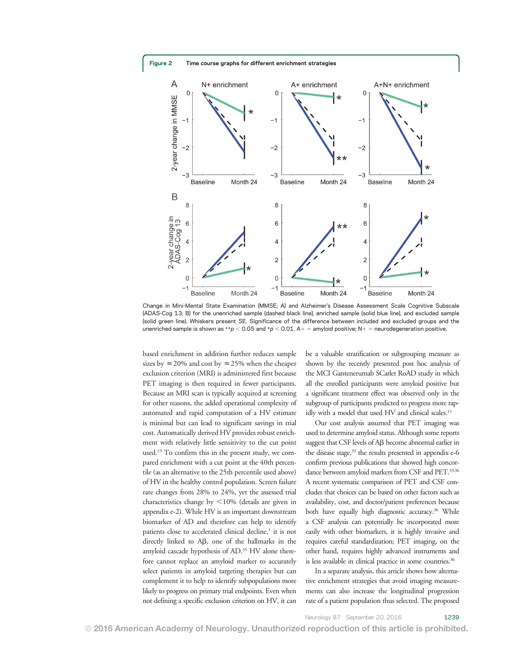

Change in Mini-Mental State Examination (MMSE; A) and Alzheimer's Disease Assessment Scale Cognitive Subscale (ADAS-Cog 13; B) for the unenriched sample (dashed black line), enriched sample (solid blue line), and excluded sample (solid green line). Whiskers present SE. Significance of the difference between included and excluded groups and the unenriched sample is shown as \*\*p < 0.05 and \*p < 0.01. A+ = amyloid positive; N+ = neurodegeneration positive.

based enrichment in addition further reduces sample sizes by  $\approx$  20% and cost by  $\approx$  25% when the cheaper exclusion criterion (MRI) is administered first because PET imaging is then required in fewer participants. Because an MRI scan is typically acquired at screening for other reasons, the added operational complexity of automated and rapid computation of a HV estimate is minimal but can lead to significant savings in trial cost. Automatically derived HV provides robust enrichment with relatively little sensitivity to the cut point used.19 To confirm this in the present study, we compared enrichment with a cut point at the 40th percentile (as an alternative to the 25th percentile used above) of HV in the healthy control population. Screen failure rate changes from 28% to 24%, yet the assessed trial characteristics change by  $\leq 10\%$  (details are given in appendix e-2). While HV is an important downstream biomarker of AD and therefore can help to identify patients close to accelerated clinical decline,<sup>1</sup> it is not directly linked to  $\mathbf{A}\mathbf{B}$ , one of the hallmarks in the amyloid cascade hypothesis of AD.35 HV alone therefore cannot replace an amyloid marker to accurately select patients in amyloid targeting therapies but can complement it to help to identify subpopulations more likely to progress on primary trial endpoints. Even when not defining a specific exclusion criterion on HV, it can be a valuable stratification or subgrouping measure as shown by the recently presented post hoc analysis of the MCI Gantenerumab SCarlet RoAD study in which all the enrolled participants were amyloid positive but a significant treatment effect was observed only in the subgroup of participants predicted to progress more rapidly with a model that used HV and clinical scales.<sup>15</sup>

Our cost analysis assumed that PET imaging was used to determine amyloid status. Although some reports suggest that CSF levels of  $\mathsf{A}\mathsf{B}$  become abnormal earlier in the disease stage,<sup>33</sup> the results presented in appendix e-6 confirm previous publications that showed high concordance between amyloid markers from CSF and PET.<sup>33,36</sup> A recent systematic comparison of PET and CSF concludes that choices can be based on other factors such as availability, cost, and doctor/patient preferences because both have equally high diagnostic accuracy.<sup>36</sup> While a CSF analysis can potentially be incorporated more easily with other biomarkers, it is highly invasive and requires careful standardization; PET imaging, on the other hand, requires highly advanced instruments and is less available in clinical practice in some countries.<sup>36</sup>

In a separate analysis, this article shows how alternative enrichment strategies that avoid imaging measurements can also increase the longitudinal progression rate of a patient population thus selected. The proposed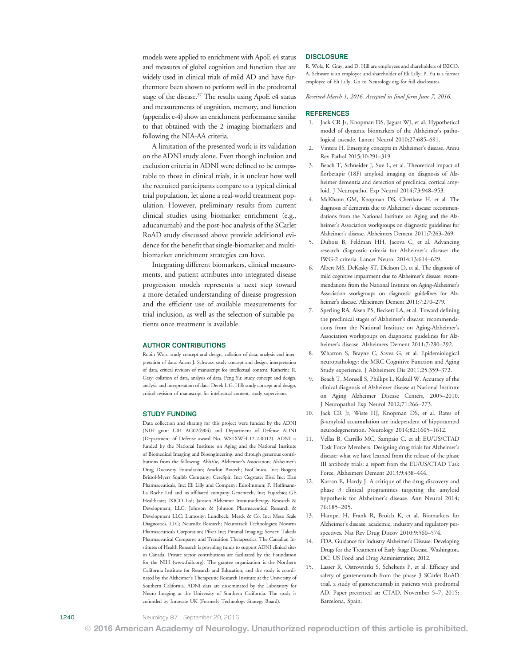models were applied to enrichment with ApoE e4 status and measures of global cognition and function that are widely used in clinical trials of mild AD and have furthermore been shown to perform well in the prodromal stage of the disease.<sup>37</sup> The results using ApoE e4 status and measurements of cognition, memory, and function (appendix e-4) show an enrichment performance similar to that obtained with the 2 imaging biomarkers and following the NIA-AA criteria.

A limitation of the presented work is its validation on the ADNI study alone. Even though inclusion and exclusion criteria in ADNI were defined to be comparable to those in clinical trials, it is unclear how well the recruited participants compare to a typical clinical trial population, let alone a real-world treatment population. However, preliminary results from current clinical studies using biomarker enrichment (e.g., aducanumab) and the post-hoc analysis of the SCarlet RoAD study discussed above provide additional evidence for the benefit that single-biomarker and multibiomarker enrichment strategies can have.

Integrating different biomarkers, clinical measurements, and patient attributes into integrated disease progression models represents a next step toward a more detailed understanding of disease progression and the efficient use of available measurements for trial inclusion, as well as the selection of suitable patients once treatment is available.

#### AUTHOR CONTRIBUTIONS

Robin Wolz: study concept and design, collation of data, analysis and interpretation of data. Adam J. Schwarz: study concept and design, interpretation of data, critical revision of manuscript for intellectual content. Katherine R. Gray: collation of data, analysis of data. Peng Yu: study concept and design, analysis and interpretation of data. Derek L.G. Hill: study concept and design, critical revision of manuscript for intellectual content, study supervision.

#### STUDY FUNDING

Data collection and sharing for this project were funded by the ADNI (NIH grant U01 AG024904) and Department of Defense ADNI (Department of Defense award No. W81XWH-12-2-0012). ADNI is funded by the National Institute on Aging and the National Institute of Biomedical Imaging and Bioengineering, and through generous contributions from the following: AbbVie, Alzheimer's Association; Alzheimer's Drug Discovery Foundation; Araclon Biotech; BioClinica, Inc; Biogen; Bristol-Myers Squibb Company; CereSpir, Inc; Cogstate; Eisai Inc; Elan Pharmaceuticals, Inc; Eli Lilly and Company; EuroImmun; F. Hoffmann-La Roche Ltd and its affiliated company Genentech, Inc; Fujirebio; GE Healthcare; IXICO Ltd; Janssen Alzheimer Immunotherapy Research & Development, LLC; Johnson & Johnson Pharmaceutical Research & Development LLC; Lumosity; Lundbeck; Merck & Co, Inc; Meso Scale Diagnostics, LLC; NeuroRx Research; Neurotrack Technologies; Novartis Pharmaceuticals Corporation; Pfizer Inc; Piramal Imaging; Servier; Takeda Pharmaceutical Company; and Transition Therapeutics. The Canadian Institutes of Health Research is providing funds to support ADNI clinical sites in Canada. Private sector contributions are facilitated by the Foundation for the NIH ([www.fnih.org](http://www.fnih.org)). The grantee organization is the Northern California Institute for Research and Education, and the study is coordinated by the Alzheimer's Therapeutic Research Institute at the University of Southern California. ADNI data are disseminated by the Laboratory for Neuro Imaging at the University of Southern California. The study is cofunded by Innovate UK (Formerly Technology Strategy Board).

#### **DISCLOSURE**

R. Wolz, K. Gray, and D. Hill are employees and shareholders of IXICO. A. Schwarz is an employee and shareholder of Eli Lilly. P. Yu is a former employee of Eli Lilly. Go to [Neurology.org](http://neurology.org/lookup/doi/10.1212/WNL.0000000000003126) for full disclosures.

Received March 1, 2016. Accepted in final form June 7, 2016.

#### **REFERENCES**

- 1. Jack CR Jr, Knopman DS, Jagust WJ, et al. Hypothetical model of dynamic biomarkers of the Alzheimer's pathological cascade. Lancet Neurol 2010;27:685–691.
- 2. Vinters H. Emerging concepts in Alzheimer's disease. Annu Rev Pathol 2015;10:291–319.
- 3. Beach T, Schneider J, Sue L, et al. Theoretical impact of florbetapir (18F) amyloid imaging on diagnosis of Alzheimer dementia and detection of preclinical cortical amyloid. J Neuropathol Exp Neurol 2014;73:948–953.
- 4. McKhann GM, Knopman DS, Chertkow H, et al. The diagnosis of dementia due to Alzheimer's disease: recommendations from the National Institute on Aging and the Alzheimer's Association workgroups on diagnostic guidelines for Alzheimer's disease. Alzheimers Dement 2011;7:263–269.
- 5. Dubois B, Feldman HH, Jacova C, et al. Advancing research diagnostic criteria for Alzheimer's disease: the IWG-2 criteria. Lancet Neurol 2014;13:614–629.
- 6. Albert MS, DeKosky ST, Dickson D, et al. The diagnosis of mild cognitive impairment due to Alzheimer's disease: recommendations from the National Institute on Aging-Alzheimer's Association workgroups on diagnostic guidelines for Alzheimer's disease. Alzheimers Dement 2011;7:270–279.
- 7. Sperling RA, Aisen PS, Beckett LA, et al. Toward defining the preclinical stages of Alzheimer's disease: recommendations from the National Institute on Aging-Alzheimer's Association workgroups on diagnostic guidelines for Alzheimer's disease. Alzheimers Dement 2011;7:280–292.
- 8. Wharton S, Brayne C, Savva G, et al. Epidemiological neuropathology: the MRC Cognitive Function and Aging Study experience. J Alzheimers Dis 2011;25:359–372.
- 9. Beach T, Monsell S, Phillips L, Kukull W. Accuracy of the clinical diagnosis of Alzheimer disease at National Institute on Aging Alzheimer Disease Centers, 2005–2010. J Neuropathol Exp Neurol 2012;71:266–273.
- 10. Jack CR Jr, Wiste HJ, Knopman DS, et al. Rates of b-amyloid accumulation are independent of hippocampal neurodegeneration. Neurology 2014;82:1605–1612.
- 11. Vellas B, Carrillo MC, Sampaio C, et al; EU/US/CTAD Task Force Members. Designing drug trials for Alzheimer's disease: what we have learned from the release of the phase III antibody trials: a report from the EU/US/CTAD Task Force. Alzheimers Dement 2013;9:438–444.
- 12. Karran E, Hardy J. A critique of the drug discovery and phase 3 clinical programmes targeting the amyloid hypothesis for Alzheimer's disease. Ann Neurol 2014; 76:185–205.
- 13. Hampel H, Frank R, Broich K, et al. Biomarkers for Alzheimer's disease: academic, industry and regulatory perspectives. Nat Rev Drug Discov 2010;9:560–574.
- 14. FDA. Guidance for Industry Alzheimer's Disease: Developing Drugs for the Treatment of Early Stage Disease. Washington, DC: US Food and Drug Administration; 2012.
- 15. Lasser R, Ostrowitzki S, Scheltens P, et al. Efficacy and safety of gantenerumab from the phase 3 SCarlet RoAD trial, a study of gantenerumab in patients with prodromal AD. Paper presented at: CTAD, November 5–7, 2015; Barcelona, Spain.